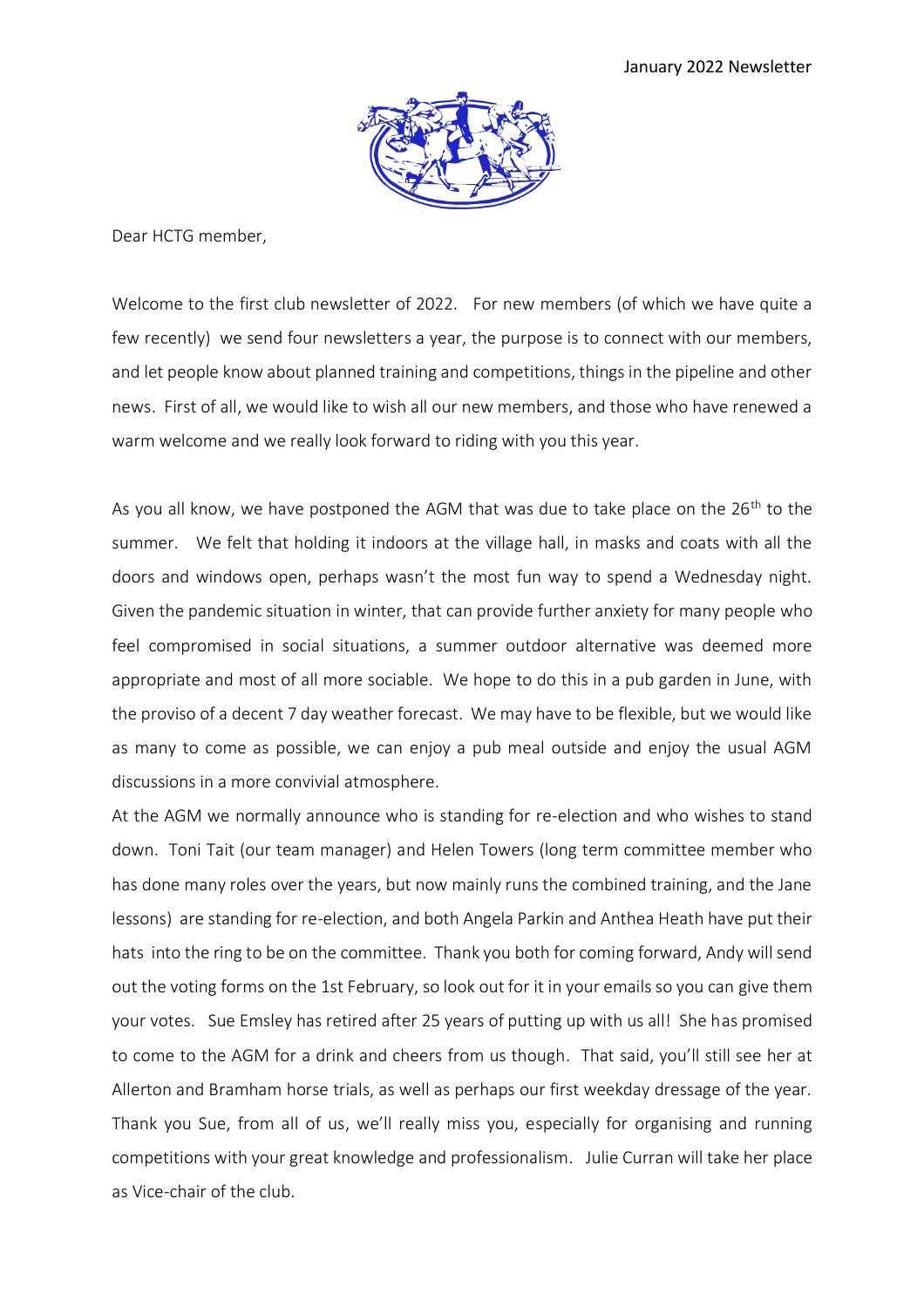

Dear HCTG member,

Welcome to the first club newsletter of 2022. For new members (of which we have quite a few recently) we send four newsletters a year, the purpose is to connect with our members, and let people know about planned training and competitions, things in the pipeline and other news. First of all, we would like to wish all our new members, and those who have renewed a warm welcome and we really look forward to riding with you this year.

As you all know, we have postponed the AGM that was due to take place on the  $26<sup>th</sup>$  to the summer. We felt that holding it indoors at the village hall, in masks and coats with all the doors and windows open, perhaps wasn't the most fun way to spend a Wednesday night. Given the pandemic situation in winter, that can provide further anxiety for many people who feel compromised in social situations, a summer outdoor alternative was deemed more appropriate and most of all more sociable. We hope to do this in a pub garden in June, with the proviso of a decent 7 day weather forecast. We may have to be flexible, but we would like as many to come as possible, we can enjoy a pub meal outside and enjoy the usual AGM discussions in a more convivial atmosphere.

At the AGM we normally announce who is standing for re-election and who wishes to stand down. Toni Tait (our team manager) and Helen Towers (long term committee member who has done many roles over the years, but now mainly runs the combined training, and the Jane lessons) are standing for re-election, and both Angela Parkin and Anthea Heath have put their hats into the ring to be on the committee. Thank you both for coming forward, Andy will send out the voting forms on the 1st February, so look out for it in your emails so you can give them your votes. Sue Emsley has retired after 25 years of putting up with us all! She has promised to come to the AGM for a drink and cheers from us though. That said, you'll still see her at Allerton and Bramham horse trials, as well as perhaps our first weekday dressage of the year. Thank you Sue, from all of us, we'll really miss you, especially for organising and running competitions with your great knowledge and professionalism. Julie Curran will take her place as Vice-chair of the club.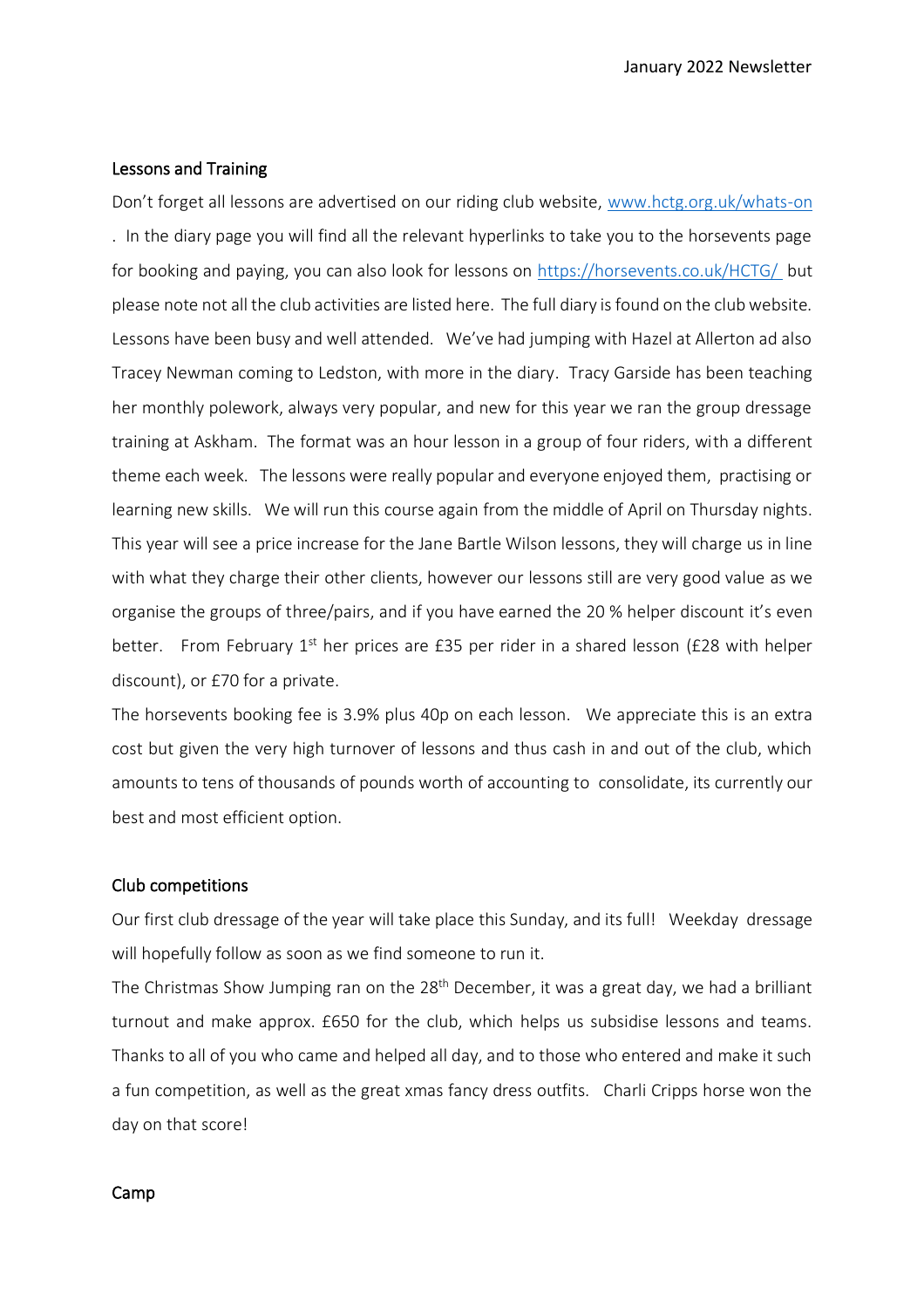# Lessons and Training

Don't forget all lessons are advertised on our riding club website, [www.hctg.org.uk/whats-on](http://www.hctg.org.uk/whats-on) . In the diary page you will find all the relevant hyperlinks to take you to the horsevents page for booking and paying, you can also look for lessons on<https://horsevents.co.uk/HCTG/> but please note not all the club activities are listed here. The full diary is found on the club website. Lessons have been busy and well attended. We've had jumping with Hazel at Allerton ad also Tracey Newman coming to Ledston, with more in the diary. Tracy Garside has been teaching her monthly polework, always very popular, and new for this year we ran the group dressage training at Askham. The format was an hour lesson in a group of four riders, with a different theme each week. The lessons were really popular and everyone enjoyed them, practising or learning new skills. We will run this course again from the middle of April on Thursday nights. This year will see a price increase for the Jane Bartle Wilson lessons, they will charge us in line with what they charge their other clients, however our lessons still are very good value as we organise the groups of three/pairs, and if you have earned the 20 % helper discount it's even better. From February  $1<sup>st</sup>$  her prices are £35 per rider in a shared lesson (£28 with helper discount), or £70 for a private.

The horsevents booking fee is 3.9% plus 40p on each lesson. We appreciate this is an extra cost but given the very high turnover of lessons and thus cash in and out of the club, which amounts to tens of thousands of pounds worth of accounting to consolidate, its currently our best and most efficient option.

## Club competitions

Our first club dressage of the year will take place this Sunday, and its full! Weekday dressage will hopefully follow as soon as we find someone to run it.

The Christmas Show Jumping ran on the 28<sup>th</sup> December, it was a great day, we had a brilliant turnout and make approx. £650 for the club, which helps us subsidise lessons and teams. Thanks to all of you who came and helped all day, and to those who entered and make it such a fun competition, as well as the great xmas fancy dress outfits. Charli Cripps horse won the day on that score!

### Camp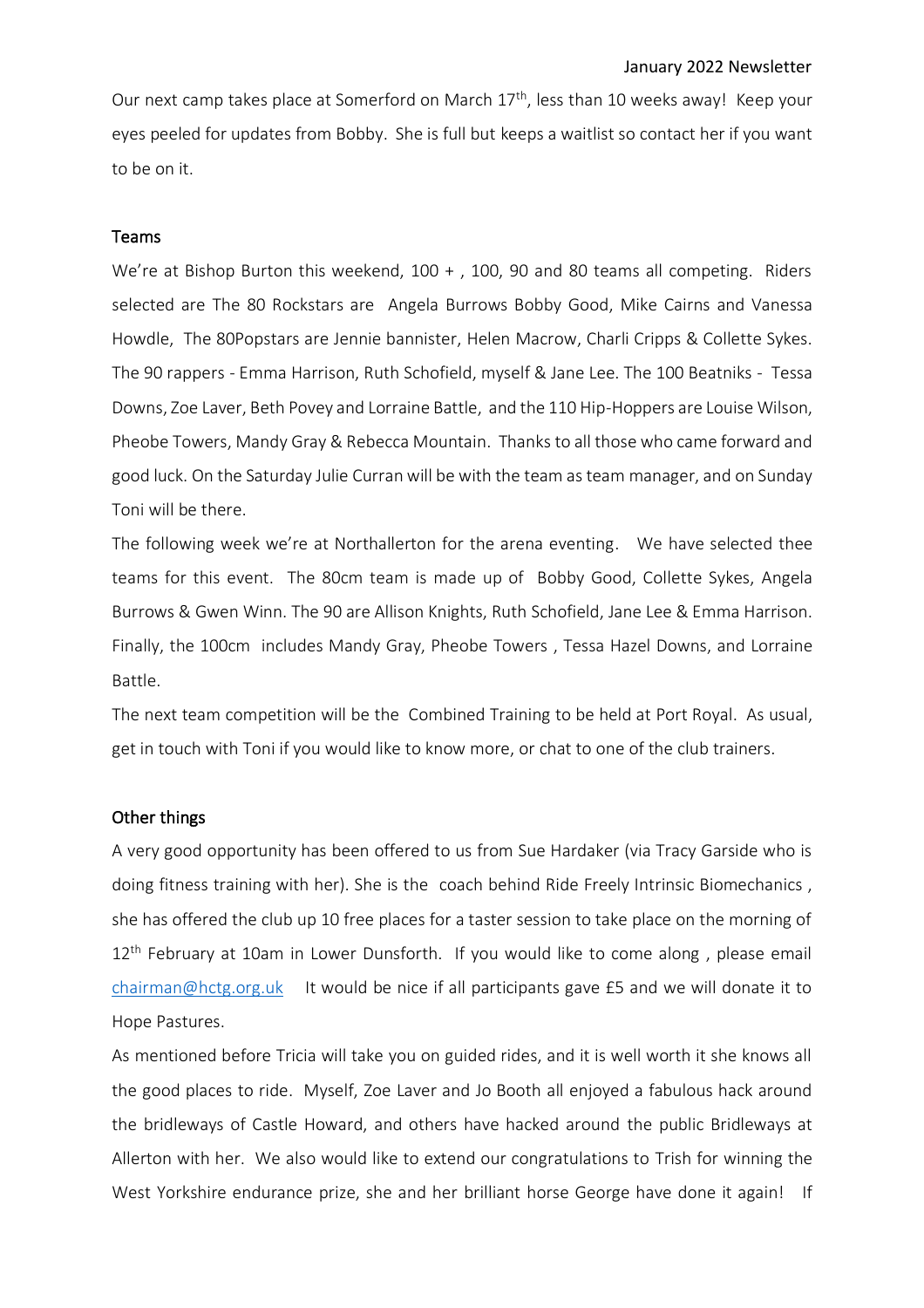Our next camp takes place at Somerford on March 17<sup>th</sup>, less than 10 weeks away! Keep your eyes peeled for updates from Bobby. She is full but keeps a waitlist so contact her if you want to be on it.

# Teams

We're at Bishop Burton this weekend, 100 + , 100, 90 and 80 teams all competing. Riders selected are The 80 Rockstars are Angela [Burrows](https://www.facebook.com/angela.burrows.31?__cft__%5b0%5d=AZXd5DUECtC3PxRIfTEAlVGuJECjbPCRHmcQE2qxHcx6j2zXrhtLES7ZbZAZwo3Q0Fu5f9Pw4PBnZAUggJT8CIddfIKdGYjwDsW1An2PNznWQS84X302gPs_ICHzsiYUhRgswoMtnmwrQrhEo_FxNaU_ZNxypNc4iiamW-1IrbsaUQ&__tn__=-%5dK-R) Bobby Good, Mike [Cairns](https://www.facebook.com/mike.cairns.39?__cft__%5b0%5d=AZXd5DUECtC3PxRIfTEAlVGuJECjbPCRHmcQE2qxHcx6j2zXrhtLES7ZbZAZwo3Q0Fu5f9Pw4PBnZAUggJT8CIddfIKdGYjwDsW1An2PNznWQS84X302gPs_ICHzsiYUhRgswoMtnmwrQrhEo_FxNaU_ZNxypNc4iiamW-1IrbsaUQ&__tn__=-%5dK-R) and [Vanessa](https://www.facebook.com/vanessa.howdle?__cft__%5b0%5d=AZXd5DUECtC3PxRIfTEAlVGuJECjbPCRHmcQE2qxHcx6j2zXrhtLES7ZbZAZwo3Q0Fu5f9Pw4PBnZAUggJT8CIddfIKdGYjwDsW1An2PNznWQS84X302gPs_ICHzsiYUhRgswoMtnmwrQrhEo_FxNaU_ZNxypNc4iiamW-1IrbsaUQ&__tn__=-%5dK-R) [Howdle,](https://www.facebook.com/vanessa.howdle?__cft__%5b0%5d=AZXd5DUECtC3PxRIfTEAlVGuJECjbPCRHmcQE2qxHcx6j2zXrhtLES7ZbZAZwo3Q0Fu5f9Pw4PBnZAUggJT8CIddfIKdGYjwDsW1An2PNznWQS84X302gPs_ICHzsiYUhRgswoMtnmwrQrhEo_FxNaU_ZNxypNc4iiamW-1IrbsaUQ&__tn__=-%5dK-R) The 80Popstars are Jennie bannister, Helen [Macrow,](https://www.facebook.com/helen.potter.5?__cft__%5b0%5d=AZXd5DUECtC3PxRIfTEAlVGuJECjbPCRHmcQE2qxHcx6j2zXrhtLES7ZbZAZwo3Q0Fu5f9Pw4PBnZAUggJT8CIddfIKdGYjwDsW1An2PNznWQS84X302gPs_ICHzsiYUhRgswoMtnmwrQrhEo_FxNaU_ZNxypNc4iiamW-1IrbsaUQ&__tn__=-%5dK-R) Charli Cripps & Collette Sykes. The 90 rappers - Emma Harrison, Ruth [Schofield,](https://www.facebook.com/ruth.schofield.31?__cft__%5b0%5d=AZXd5DUECtC3PxRIfTEAlVGuJECjbPCRHmcQE2qxHcx6j2zXrhtLES7ZbZAZwo3Q0Fu5f9Pw4PBnZAUggJT8CIddfIKdGYjwDsW1An2PNznWQS84X302gPs_ICHzsiYUhRgswoMtnmwrQrhEo_FxNaU_ZNxypNc4iiamW-1IrbsaUQ&__tn__=-%5dK-R) myself & Jane Lee. The 100 Beatniks - Tessa Downs, Zoe Laver, Beth [Povey](https://www.facebook.com/beth.hackett.71?__cft__%5b0%5d=AZXd5DUECtC3PxRIfTEAlVGuJECjbPCRHmcQE2qxHcx6j2zXrhtLES7ZbZAZwo3Q0Fu5f9Pw4PBnZAUggJT8CIddfIKdGYjwDsW1An2PNznWQS84X302gPs_ICHzsiYUhRgswoMtnmwrQrhEo_FxNaU_ZNxypNc4iiamW-1IrbsaUQ&__tn__=-%5dK-R) and Lorraine Battle, and the 110 Hip-Hoppers are Louise Wilson, Pheobe Towers, Mandy Gray & Rebecca [Mountain.](https://www.facebook.com/rebecca.mountain.12?__cft__%5b0%5d=AZXd5DUECtC3PxRIfTEAlVGuJECjbPCRHmcQE2qxHcx6j2zXrhtLES7ZbZAZwo3Q0Fu5f9Pw4PBnZAUggJT8CIddfIKdGYjwDsW1An2PNznWQS84X302gPs_ICHzsiYUhRgswoMtnmwrQrhEo_FxNaU_ZNxypNc4iiamW-1IrbsaUQ&__tn__=-%5dK-R) Thanks to all those who came forward and good luck. On the Saturday Julie Curran will be with the team as team manager, and on Sunday Toni will be there.

The following week we're at Northallerton for the arena eventing. We have selected thee teams for this event. The 80cm team is made up of Bobby Good, Collette Sykes, [Angela](https://www.facebook.com/angela.burrows.31?__cft__%5b0%5d=AZXIglNxxcho19IJ1Swb8AyNt2fil1WsfzfzP4FKA7lV0-_jwDpXPFKCKTuogXNs1_Tv4NlvCQncw0fYcWI7W7v2zPTMAhqHXz40xJV2_JTqdDL2cb5m8mpKtYh-GTGX6C3e2YnLgG8en87IED2_5hZtFly8j-cFZ12onnD8-6_i_A&__tn__=-%5dK-R) [Burrows](https://www.facebook.com/angela.burrows.31?__cft__%5b0%5d=AZXIglNxxcho19IJ1Swb8AyNt2fil1WsfzfzP4FKA7lV0-_jwDpXPFKCKTuogXNs1_Tv4NlvCQncw0fYcWI7W7v2zPTMAhqHXz40xJV2_JTqdDL2cb5m8mpKtYh-GTGX6C3e2YnLgG8en87IED2_5hZtFly8j-cFZ12onnD8-6_i_A&__tn__=-%5dK-R) & Gwen Winn. The 90 are Allison Knights, Ruth [Schofield,](https://www.facebook.com/ruth.schofield.31?__cft__%5b0%5d=AZXIglNxxcho19IJ1Swb8AyNt2fil1WsfzfzP4FKA7lV0-_jwDpXPFKCKTuogXNs1_Tv4NlvCQncw0fYcWI7W7v2zPTMAhqHXz40xJV2_JTqdDL2cb5m8mpKtYh-GTGX6C3e2YnLgG8en87IED2_5hZtFly8j-cFZ12onnD8-6_i_A&__tn__=-%5dK-R) Jane Lee & Emma Harrison. Finally, the 100cm includes Mandy Gray, Pheobe Towers , Tessa Hazel Downs, and Lorraine Battle.

The next team competition will be the Combined Training to be held at Port Royal. As usual, get in touch with Toni if you would like to know more, or chat to one of the club trainers.

### Other things

A very good opportunity has been offered to us from Sue Hardaker (via Tracy Garside who is doing fitness training with her). She is the coach behind Ride Freely Intrinsic Biomechanics , she has offered the club up 10 free places for a taster session to take place on the morning of 12<sup>th</sup> February at 10am in Lower Dunsforth. If you would like to come along, please email [chairman@hctg.org.uk](mailto:chairman@hctg.org.uk) It would be nice if all participants gave £5 and we will donate it to Hope Pastures.

As mentioned before Tricia will take you on guided rides, and it is well worth it she knows all the good places to ride. Myself, Zoe Laver and Jo Booth all enjoyed a fabulous hack around the bridleways of Castle Howard, and others have hacked around the public Bridleways at Allerton with her. We also would like to extend our congratulations to Trish for winning the West Yorkshire endurance prize, she and her brilliant horse George have done it again! If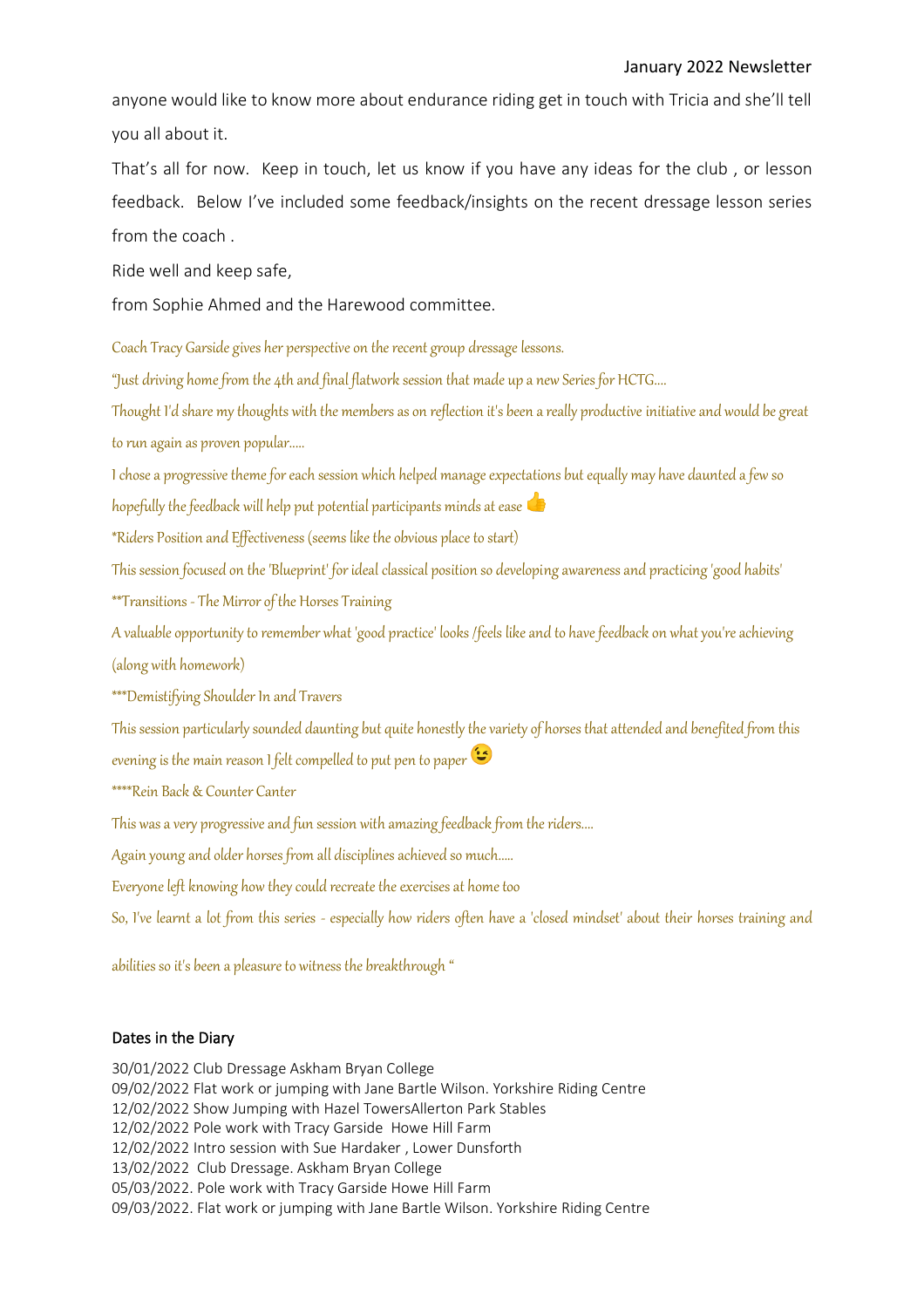anyone would like to know more about endurance riding get in touch with Tricia and she'll tell you all about it.

That's all for now. Keep in touch, let us know if you have any ideas for the club , or lesson feedback. Below I've included some feedback/insights on the recent dressage lesson series from the coach .

Ride well and keep safe,

from Sophie Ahmed and the Harewood committee.

Coach Tracy Garside gives her perspective on the recent group dressage lessons.

"Just driving home from the 4th and final flatwork session that made up a new Series for HCTG....

Thought I'd share my thoughts with the members as on reflection it's been a really productive initiative and would be great to run again as proven popular.....

I chose a progressive theme for each session which helped manage expectations but equally may have daunted a few so

hopefully the feedback will help put potential participants minds at ease

\*Riders Position and Effectiveness (seems like the obvious place to start)

This session focused on the 'Blueprint' for ideal classical position so developing awareness and practicing 'good habits'

\*\*Transitions - The Mirror of the Horses Training

A valuable opportunity to remember what 'good practice' looks /feels like and to have feedback on what you're achieving (along with homework)

\*\*\*Demistifying Shoulder In and Travers

This session particularly sounded daunting but quite honestly the variety of horses that attended and benefited from this evening is the main reason I felt compelled to put pen to paper

\*\*\*\*Rein Back & Counter Canter

This was a very progressive and fun session with amazing feedback from the riders....

Again young and older horses from all disciplines achieved so much.....

Everyone left knowing how they could recreate the exercises at home too

So, I've learnt a lot from this series - especially how riders often have a 'closed mindset' about their horses training and

abilities so it's been a pleasure to witness the breakthrough "

## Dates in the Diary

30/01/2022 Club Dressage Askham Bryan College 09/02/2022 Flat work or jumping with Jane Bartle Wilson. Yorkshire Riding Centre 12/02/2022 Show Jumping with Hazel TowersAllerton Park Stables 12/02/2022 Pole work with Tracy Garside Howe Hill Farm 12/02/2022 Intro session with Sue Hardaker , Lower Dunsforth 13/02/2022 Club Dressage. Askham Bryan College 05/03/2022. Pole work with Tracy Garside Howe Hill Farm 09/03/2022. Flat work or jumping with Jane Bartle Wilson. Yorkshire Riding Centre